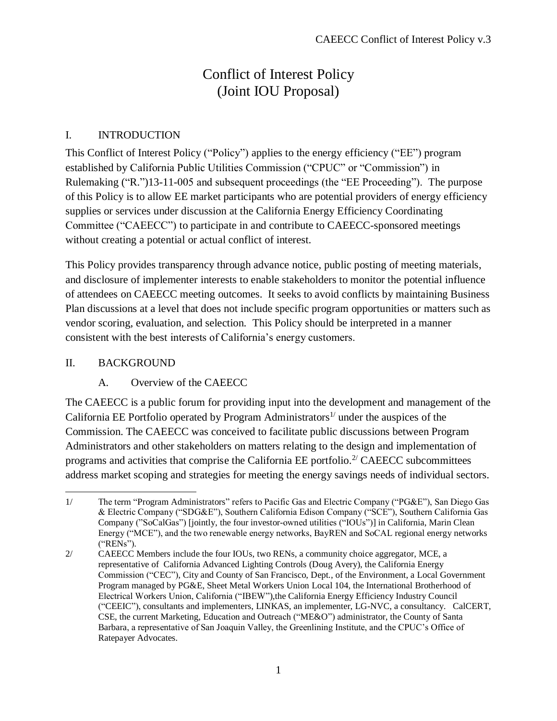# Conflict of Interest Policy (Joint IOU Proposal)

#### I. INTRODUCTION

This Conflict of Interest Policy ("Policy") applies to the energy efficiency ("EE") program established by California Public Utilities Commission ("CPUC" or "Commission") in Rulemaking ("R.")13-11-005 and subsequent proceedings (the "EE Proceeding"). The purpose of this Policy is to allow EE market participants who are potential providers of energy efficiency supplies or services under discussion at the California Energy Efficiency Coordinating Committee ("CAEECC") to participate in and contribute to CAEECC-sponsored meetings without creating a potential or actual conflict of interest.

This Policy provides transparency through advance notice, public posting of meeting materials, and disclosure of implementer interests to enable stakeholders to monitor the potential influence of attendees on CAEECC meeting outcomes. It seeks to avoid conflicts by maintaining Business Plan discussions at a level that does not include specific program opportunities or matters such as vendor scoring, evaluation, and selection. This Policy should be interpreted in a manner consistent with the best interests of California's energy customers.

#### II. BACKGROUND

# A. Overview of the CAEECC

The CAEECC is a public forum for providing input into the development and management of the California EE Portfolio operated by Program Administrators<sup>1/</sup> under the auspices of the Commission. The CAEECC was conceived to facilitate public discussions between Program Administrators and other stakeholders on matters relating to the design and implementation of programs and activities that comprise the California EE portfolio.<sup>2/</sup> CAEECC subcommittees address market scoping and strategies for meeting the energy savings needs of individual sectors.

 $\overline{a}$ 1/ The term "Program Administrators" refers to Pacific Gas and Electric Company ("PG&E"), San Diego Gas & Electric Company ("SDG&E"), Southern California Edison Company ("SCE"), Southern California Gas Company ("SoCalGas") [jointly, the four investor-owned utilities ("IOUs")] in California, Marin Clean Energy ("MCE"), and the two renewable energy networks, BayREN and SoCAL regional energy networks ("RENs").

<sup>2/</sup> CAEECC Members include the four IOUs, two RENs, a community choice aggregator, MCE, a representative of California Advanced Lighting Controls (Doug Avery), the California Energy Commission ("CEC"), City and County of San Francisco, Dept., of the Environment, a Local Government Program managed by PG&E, Sheet Metal Workers Union Local 104, the International Brotherhood of Electrical Workers Union, California ("IBEW"),the California Energy Efficiency Industry Council ("CEEIC"), consultants and implementers, LINKAS, an implementer, LG-NVC, a consultancy. CalCERT, CSE, the current Marketing, Education and Outreach ("ME&O") administrator, the County of Santa Barbara, a representative of San Joaquin Valley, the Greenlining Institute, and the CPUC's Office of Ratepayer Advocates.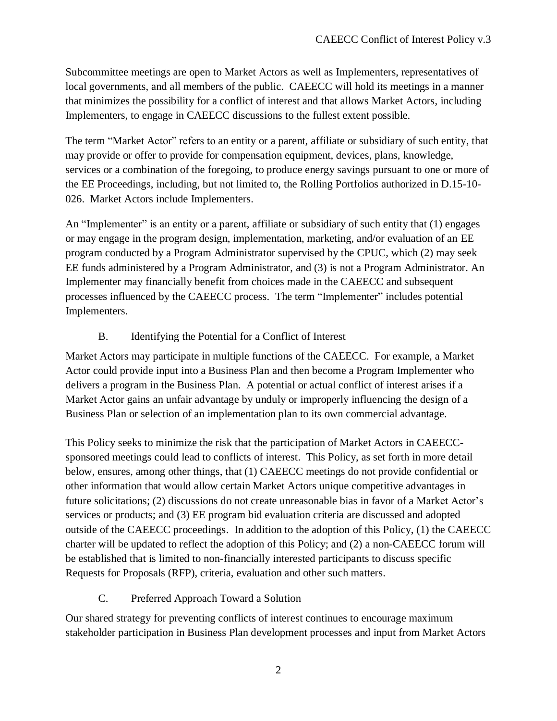Subcommittee meetings are open to Market Actors as well as Implementers, representatives of local governments, and all members of the public. CAEECC will hold its meetings in a manner that minimizes the possibility for a conflict of interest and that allows Market Actors, including Implementers, to engage in CAEECC discussions to the fullest extent possible.

The term "Market Actor" refers to an entity or a parent, affiliate or subsidiary of such entity, that may provide or offer to provide for compensation equipment, devices, plans, knowledge, services or a combination of the foregoing, to produce energy savings pursuant to one or more of the EE Proceedings, including, but not limited to, the Rolling Portfolios authorized in D.15-10- 026. Market Actors include Implementers.

An "Implementer" is an entity or a parent, affiliate or subsidiary of such entity that (1) engages or may engage in the program design, implementation, marketing, and/or evaluation of an EE program conducted by a Program Administrator supervised by the CPUC, which (2) may seek EE funds administered by a Program Administrator, and (3) is not a Program Administrator. An Implementer may financially benefit from choices made in the CAEECC and subsequent processes influenced by the CAEECC process. The term "Implementer" includes potential Implementers.

#### B. Identifying the Potential for a Conflict of Interest

Market Actors may participate in multiple functions of the CAEECC. For example, a Market Actor could provide input into a Business Plan and then become a Program Implementer who delivers a program in the Business Plan. A potential or actual conflict of interest arises if a Market Actor gains an unfair advantage by unduly or improperly influencing the design of a Business Plan or selection of an implementation plan to its own commercial advantage.

This Policy seeks to minimize the risk that the participation of Market Actors in CAEECCsponsored meetings could lead to conflicts of interest. This Policy, as set forth in more detail below, ensures, among other things, that (1) CAEECC meetings do not provide confidential or other information that would allow certain Market Actors unique competitive advantages in future solicitations; (2) discussions do not create unreasonable bias in favor of a Market Actor's services or products; and (3) EE program bid evaluation criteria are discussed and adopted outside of the CAEECC proceedings. In addition to the adoption of this Policy, (1) the CAEECC charter will be updated to reflect the adoption of this Policy; and (2) a non-CAEECC forum will be established that is limited to non-financially interested participants to discuss specific Requests for Proposals (RFP), criteria, evaluation and other such matters.

# C. Preferred Approach Toward a Solution

Our shared strategy for preventing conflicts of interest continues to encourage maximum stakeholder participation in Business Plan development processes and input from Market Actors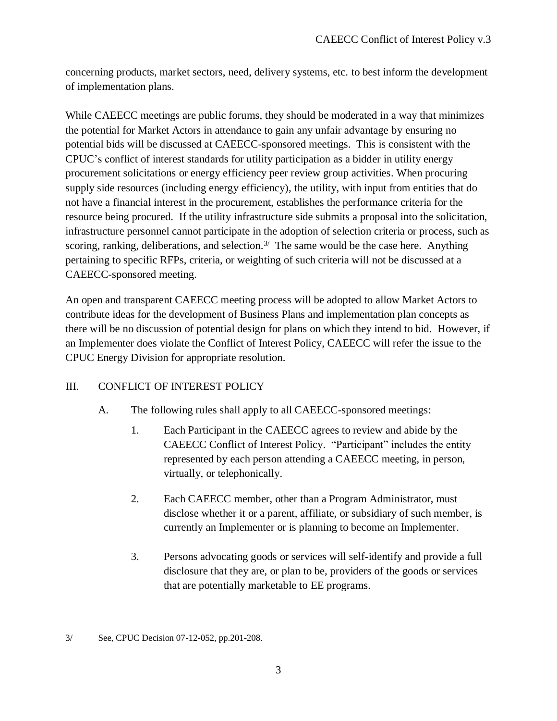concerning products, market sectors, need, delivery systems, etc. to best inform the development of implementation plans.

While CAEECC meetings are public forums, they should be moderated in a way that minimizes the potential for Market Actors in attendance to gain any unfair advantage by ensuring no potential bids will be discussed at CAEECC-sponsored meetings. This is consistent with the CPUC's conflict of interest standards for utility participation as a bidder in utility energy procurement solicitations or energy efficiency peer review group activities. When procuring supply side resources (including energy efficiency), the utility, with input from entities that do not have a financial interest in the procurement, establishes the performance criteria for the resource being procured. If the utility infrastructure side submits a proposal into the solicitation, infrastructure personnel cannot participate in the adoption of selection criteria or process, such as scoring, ranking, deliberations, and selection.<sup>3/</sup> The same would be the case here. Anything pertaining to specific RFPs, criteria, or weighting of such criteria will not be discussed at a CAEECC-sponsored meeting.

An open and transparent CAEECC meeting process will be adopted to allow Market Actors to contribute ideas for the development of Business Plans and implementation plan concepts as there will be no discussion of potential design for plans on which they intend to bid. However, if an Implementer does violate the Conflict of Interest Policy, CAEECC will refer the issue to the CPUC Energy Division for appropriate resolution.

# III. CONFLICT OF INTEREST POLICY

- A. The following rules shall apply to all CAEECC-sponsored meetings:
	- 1. Each Participant in the CAEECC agrees to review and abide by the CAEECC Conflict of Interest Policy. "Participant" includes the entity represented by each person attending a CAEECC meeting, in person, virtually, or telephonically.
	- 2. Each CAEECC member, other than a Program Administrator, must disclose whether it or a parent, affiliate, or subsidiary of such member, is currently an Implementer or is planning to become an Implementer.
	- 3. Persons advocating goods or services will self-identify and provide a full disclosure that they are, or plan to be, providers of the goods or services that are potentially marketable to EE programs.

 $\overline{a}$ 3/ See, CPUC Decision 07-12-052, pp.201-208.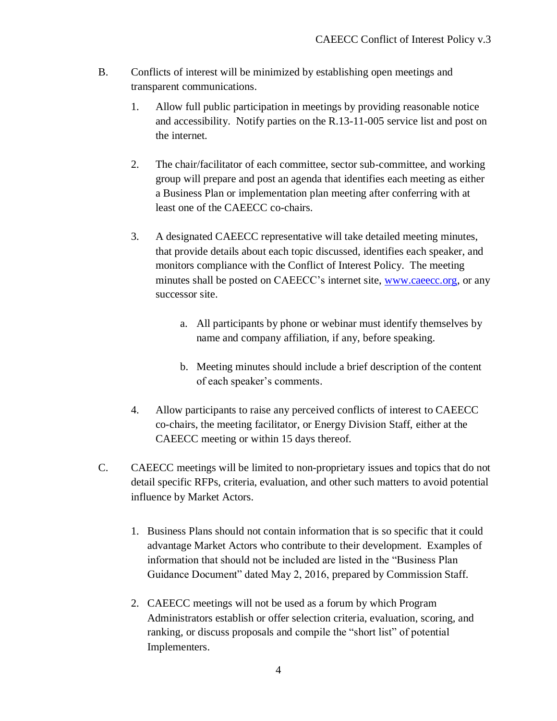- B. Conflicts of interest will be minimized by establishing open meetings and transparent communications.
	- 1. Allow full public participation in meetings by providing reasonable notice and accessibility. Notify parties on the R.13-11-005 service list and post on the internet.
	- 2. The chair/facilitator of each committee, sector sub-committee, and working group will prepare and post an agenda that identifies each meeting as either a Business Plan or implementation plan meeting after conferring with at least one of the CAEECC co-chairs.
	- 3. A designated CAEECC representative will take detailed meeting minutes, that provide details about each topic discussed, identifies each speaker, and monitors compliance with the Conflict of Interest Policy. The meeting minutes shall be posted on CAEECC's internet site, [www.caeecc.org,](http://www.caeecc.org/) or any successor site.
		- a. All participants by phone or webinar must identify themselves by name and company affiliation, if any, before speaking.
		- b. Meeting minutes should include a brief description of the content of each speaker's comments.
	- 4. Allow participants to raise any perceived conflicts of interest to CAEECC co-chairs, the meeting facilitator, or Energy Division Staff, either at the CAEECC meeting or within 15 days thereof.
- C. CAEECC meetings will be limited to non-proprietary issues and topics that do not detail specific RFPs, criteria, evaluation, and other such matters to avoid potential influence by Market Actors.
	- 1. Business Plans should not contain information that is so specific that it could advantage Market Actors who contribute to their development. Examples of information that should not be included are listed in the "Business Plan Guidance Document" dated May 2, 2016, prepared by Commission Staff.
	- 2. CAEECC meetings will not be used as a forum by which Program Administrators establish or offer selection criteria, evaluation, scoring, and ranking, or discuss proposals and compile the "short list" of potential Implementers.